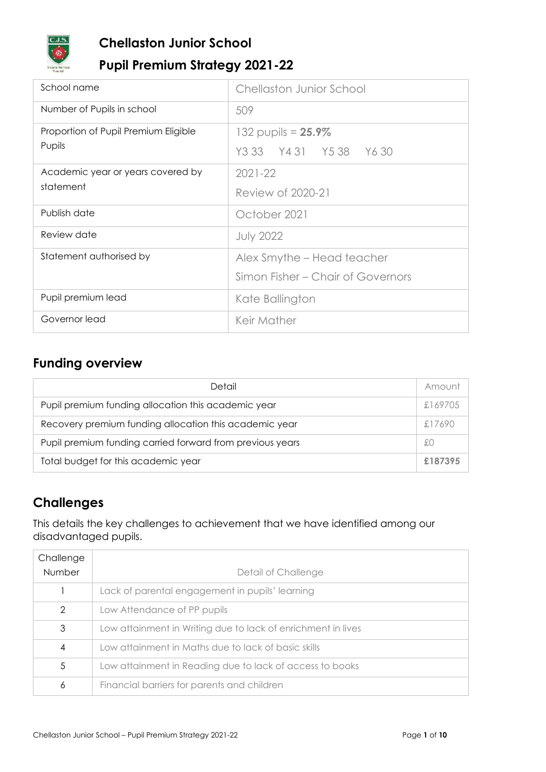

## **Chellaston Junior School**

## **Pupil Premium Strategy 2021-22**

| School name                          | <b>Chellaston Junior School</b>   |
|--------------------------------------|-----------------------------------|
| Number of Pupils in school           | 509                               |
| Proportion of Pupil Premium Eligible | 132 pupils = $25.9\%$             |
| Pupils                               | Y3 33 Y4 31 Y5 38 Y6 30           |
| Academic year or years covered by    | $2021 - 22$                       |
| statement                            | Review of 2020-21                 |
| Publish date                         | October 2021                      |
| Review date                          | <b>July 2022</b>                  |
| Statement authorised by              | Alex Smythe - Head teacher        |
|                                      | Simon Fisher - Chair of Governors |
| Pupil premium lead                   | Kate Ballington                   |
| Governor lead                        | Keir Mather                       |

## **Funding overview**

| Detail                                                    | Amount  |
|-----------------------------------------------------------|---------|
| Pupil premium funding allocation this academic year       | £169705 |
| Recovery premium funding allocation this academic year    | £17690  |
| Pupil premium funding carried forward from previous years | £Ο      |
| Total budget for this academic year                       | £187395 |

## **Challenges**

This details the key challenges to achievement that we have identified among our disadvantaged pupils.

| Challenge     |                                                              |
|---------------|--------------------------------------------------------------|
| Number        | Detail of Challenge                                          |
|               | Lack of parental engagement in pupils' learning              |
| $\mathcal{D}$ | Low Attendance of PP pupils                                  |
| 3             | Low attainment in Writing due to lack of enrichment in lives |
| 4             | Low attainment in Maths due to lack of basic skills          |
| 5             | Low attainment in Reading due to lack of access to books     |
| 6             | Financial barriers for parents and children                  |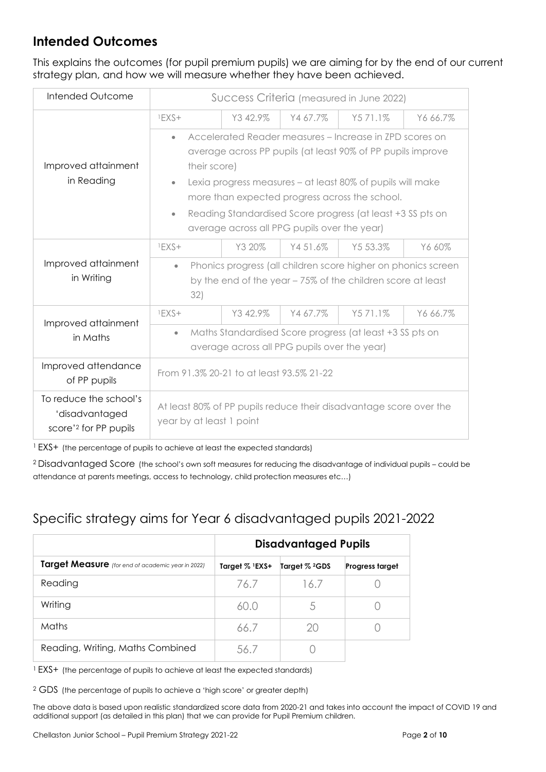## **Intended Outcomes**

This explains the outcomes (for pupil premium pupils) we are aiming for by the end of our current strategy plan, and how we will measure whether they have been achieved.

| Intended Outcome                                                              | Success Criteria (measured in June 2022)                                                                                                                                                                                       |          |          |          |          |  |
|-------------------------------------------------------------------------------|--------------------------------------------------------------------------------------------------------------------------------------------------------------------------------------------------------------------------------|----------|----------|----------|----------|--|
|                                                                               | $1EXS+$                                                                                                                                                                                                                        | Y3 42.9% | Y4 67.7% | Y571.1%  | Y6 66.7% |  |
| Improved attainment<br>in Reading                                             | Accelerated Reader measures - Increase in ZPD scores on<br>$\bullet$<br>average across PP pupils (at least 90% of PP pupils improve<br>their score)<br>Lexia progress measures – at least 80% of pupils will make<br>$\bullet$ |          |          |          |          |  |
|                                                                               | more than expected progress across the school.<br>Reading Standardised Score progress (at least +3 SS pts on<br>$\bullet$<br>average across all PPG pupils over the year)                                                      |          |          |          |          |  |
|                                                                               | $1EXS+$                                                                                                                                                                                                                        | Y3 20%   | Y451.6%  | Y5 53.3% | Y6 60%   |  |
| Improved attainment<br>in Writing                                             | Phonics progress (all children score higher on phonics screen<br>$\bullet$<br>by the end of the year - 75% of the children score at least<br>32)                                                                               |          |          |          |          |  |
| Improved attainment                                                           | $1EXS+$                                                                                                                                                                                                                        | Y342.9%  | Y4 67.7% | Y571.1%  | Y6 66.7% |  |
| in Maths                                                                      | Maths Standardised Score progress (at least +3 SS pts on<br>$\bullet$<br>average across all PPG pupils over the year)                                                                                                          |          |          |          |          |  |
| Improved attendance<br>of PP pupils                                           | From 91.3% 20-21 to at least 93.5% 21-22                                                                                                                                                                                       |          |          |          |          |  |
| To reduce the school's<br>'disadvantaged<br>score' <sup>2</sup> for PP pupils | At least 80% of PP pupils reduce their disadvantage score over the<br>year by at least 1 point                                                                                                                                 |          |          |          |          |  |

<sup>1</sup> EXS+ (the percentage of pupils to achieve at least the expected standards)

<sup>2</sup> Disadvantaged Score (the school's own soft measures for reducing the disadvantage of individual pupils – could be attendance at parents meetings, access to technology, child protection measures etc…)

## Specific strategy aims for Year 6 disadvantaged pupils 2021-2022

|                                                   |                               | <b>Disadvantaged Pupils</b> |                        |
|---------------------------------------------------|-------------------------------|-----------------------------|------------------------|
| Target Measure (for end of academic year in 2022) | Target $\%$ <sup>1</sup> EXS+ | Target % <sup>2</sup> GDS   | <b>Progress target</b> |
| Reading                                           | 76.7                          | 16.7                        |                        |
| Writing                                           | 60.0                          | 5                           |                        |
| Maths                                             | 66.7                          | 20                          |                        |
| Reading, Writing, Maths Combined                  | .56.7                         |                             |                        |

<sup>1</sup> EXS+ (the percentage of pupils to achieve at least the expected standards)

<sup>2</sup> GDS (the percentage of pupils to achieve a 'high score' or greater depth)

The above data is based upon realistic standardized score data from 2020-21 and takes into account the impact of COVID 19 and additional support (as detailed in this plan) that we can provide for Pupil Premium children.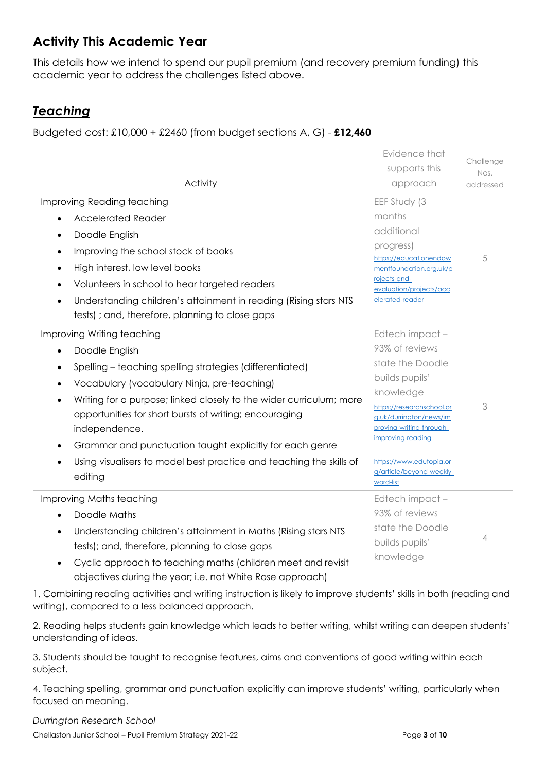## **Activity This Academic Year**

This details how we intend to spend our pupil premium (and recovery premium funding) this academic year to address the challenges listed above.

## *Teaching*

Budgeted cost: £10,000 + £2460 (from budget sections A, G) - **£12,460**

| Activity<br>Improving Reading teaching<br><b>Accelerated Reader</b><br>Doodle English<br>Improving the school stock of books<br>High interest, low level books<br>Volunteers in school to hear targeted readers<br>Understanding children's attainment in reading (Rising stars NTS                                                                                                                                       | Evidence that<br>supports this<br>approach<br>EEF Study (3<br>months<br>additional<br>progress)<br>https://educationendow<br>mentfoundation.org.uk/p<br>rojects-and-<br>evaluation/projects/acc<br>elerated-reader                             | Challenge<br>Nos.<br>addressed<br>5 |
|---------------------------------------------------------------------------------------------------------------------------------------------------------------------------------------------------------------------------------------------------------------------------------------------------------------------------------------------------------------------------------------------------------------------------|------------------------------------------------------------------------------------------------------------------------------------------------------------------------------------------------------------------------------------------------|-------------------------------------|
| tests); and, therefore, planning to close gaps<br>Improving Writing teaching                                                                                                                                                                                                                                                                                                                                              | Edtech impact-                                                                                                                                                                                                                                 |                                     |
| Doodle English<br>Spelling - teaching spelling strategies (differentiated)<br>Vocabulary (vocabulary Ninja, pre-teaching)<br>Writing for a purpose; linked closely to the wider curriculum; more<br>opportunities for short bursts of writing; encouraging<br>independence.<br>Grammar and punctuation taught explicitly for each genre<br>Using visualisers to model best practice and teaching the skills of<br>editing | 93% of reviews<br>state the Doodle<br>builds pupils'<br>knowledge<br>https://researchschool.or<br>g.uk/durrington/news/im<br>proving-writing-through-<br>improving-reading<br>https://www.edutopia.or<br>g/article/beyond-weekly-<br>word-list | 3                                   |
| Improving Maths teaching<br>Doodle Maths<br>Understanding children's attainment in Maths (Rising stars NTS<br>tests); and, therefore, planning to close gaps<br>Cyclic approach to teaching maths (children meet and revisit<br>objectives during the year; i.e. not White Rose approach)                                                                                                                                 | Edtech impact-<br>93% of reviews<br>state the Doodle<br>builds pupils'<br>knowledge                                                                                                                                                            | 4                                   |

1. Combining reading activities and writing instruction is likely to improve students' skills in both (reading and writing), compared to a less balanced approach.

2. Reading helps students gain knowledge which leads to better writing, whilst writing can deepen students' understanding of ideas.

3. Students should be taught to recognise features, aims and conventions of good writing within each subject.

4. Teaching spelling, grammar and punctuation explicitly can improve students' writing, particularly when focused on meaning.

*Durrington Research School*

Chellaston Junior School – Pupil Premium Strategy 2021-22 Page **3** of **10**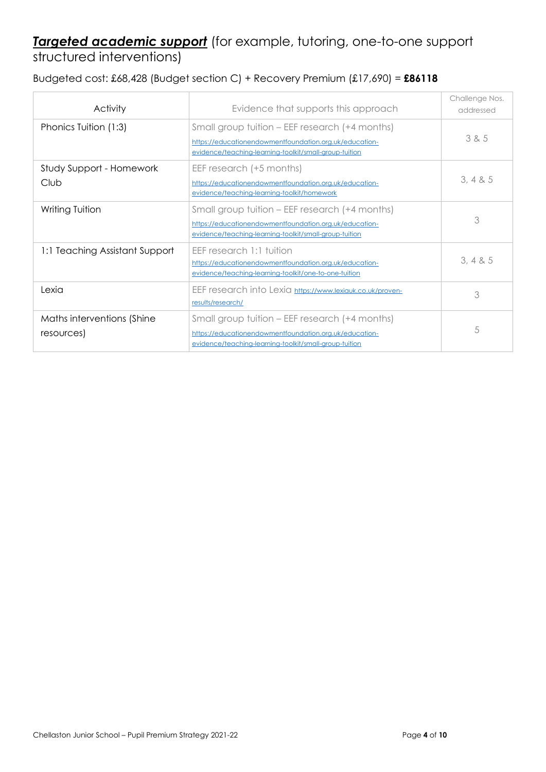## *Targeted academic support* (for example, tutoring, one-to-one support structured interventions)

Budgeted cost: £68,428 (Budget section C) + Recovery Premium (£17,690) = **£86118**

| <b>Activity</b>                          | Evidence that supports this approach                                                                                                                               | Challenge Nos.<br>addressed |
|------------------------------------------|--------------------------------------------------------------------------------------------------------------------------------------------------------------------|-----------------------------|
| Phonics Tuition (1:3)                    | Small group tuition - EEF research (+4 months)<br>https://educationendowmentfoundation.org.uk/education-<br>evidence/teaching-learning-toolkit/small-group-tuition | 385                         |
| Study Support - Homework<br>Club         | EEF research (+5 months)<br>https://educationendowmentfoundation.org.uk/education-<br>evidence/teaching-learning-toolkit/homework                                  | 3, 4 & 8 & 5                |
| Writing Tuition                          | Small group tuition – EEF research (+4 months)<br>https://educationendowmentfoundation.org.uk/education-<br>evidence/teaching-learning-toolkit/small-group-tuition | 3                           |
| 1:1 Teaching Assistant Support           | EEF research 1:1 tuition<br>https://educationendowmentfoundation.org.uk/education-<br>evidence/teaching-learning-toolkit/one-to-one-tuition                        | 3, 4 & 8 & 5                |
| Lexia                                    | EEF research into Lexia https://www.lexiauk.co.uk/proven-<br>results/research/                                                                                     | 3                           |
| Maths interventions (Shine<br>resources) | Small group tuition – EEF research (+4 months)<br>https://educationendowmentfoundation.org.uk/education-<br>evidence/teaching-learning-toolkit/small-group-tuition | 5                           |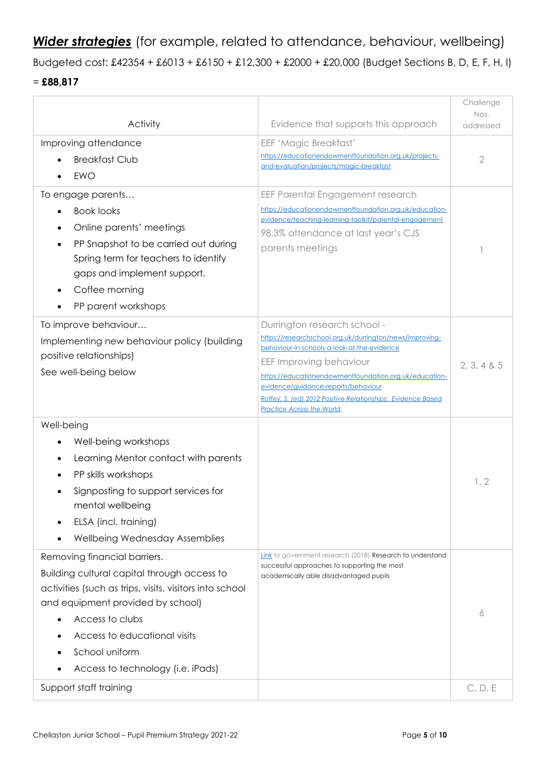*Wider strategies* (for example, related to attendance, behaviour, wellbeing)

Budgeted cost: £42354 + £6013 + £6150 + £12,300 + £2000 + £20,000 (Budget Sections B, D, E, F, H, I)

#### = **£88,817**

|                                                                                                                                                                                                                                                                                       |                                                                                                                                                                                                                                                                                                                                                                  | Challenge<br>Nos. |
|---------------------------------------------------------------------------------------------------------------------------------------------------------------------------------------------------------------------------------------------------------------------------------------|------------------------------------------------------------------------------------------------------------------------------------------------------------------------------------------------------------------------------------------------------------------------------------------------------------------------------------------------------------------|-------------------|
| Activity                                                                                                                                                                                                                                                                              | Evidence that supports this approach                                                                                                                                                                                                                                                                                                                             | addressed         |
| Improving attendance<br><b>Breakfast Club</b><br><b>EWO</b>                                                                                                                                                                                                                           | EEF 'Magic Breakfast'<br>https://educationendowmentfoundation.org.uk/projects-<br>and-evaluation/projects/magic-breakfast                                                                                                                                                                                                                                        | $\overline{2}$    |
| To engage parents<br><b>Book looks</b><br>Online parents' meetings<br>PP Snapshot to be carried out during<br>Spring term for teachers to identify<br>gaps and implement support.<br>Coffee morning<br>PP parent workshops                                                            | EEF Parental Engagement research<br>https://educationendowmentfoundation.org.uk/education-<br>evidence/teaching-learning-toolkit/parental-engagement<br>98.3% attendance at last year's CJS<br>parents meetings                                                                                                                                                  |                   |
| To improve behaviour<br>Implementing new behaviour policy (building<br>positive relationships)<br>See well-being below                                                                                                                                                                | Durrington research school -<br>https://researchschool.org.uk/durrington/news/improving-<br>behaviour-in-schools-a-look-at-the-evidence<br>EEF Improving behaviour<br>https://educationendowmentfoundation.org.uk/education-<br>evidence/guidance-reports/behaviour<br>Roffey, S. (ed) 2012 Positive Relationships: Evidence Based<br>Practice Across the World. | 2, 3, 4 & 5       |
| Well-being<br>Well-being workshops<br>Learning Mentor contact with parents<br>PP skills workshops<br>Signposting to support services for<br>mental wellbeing<br>ELSA (incl. training)<br>Wellbeing Wednesday Assemblies                                                               |                                                                                                                                                                                                                                                                                                                                                                  | 1, 2              |
| Removing financial barriers.<br>Building cultural capital through access to<br>activities (such as trips, visits, visitors into school<br>and equipment provided by school)<br>Access to clubs<br>Access to educational visits<br>School uniform<br>Access to technology (i.e. iPads) | Link to government research (2018) Research to understand<br>successful approaches to supporting the most<br>academically able disadvantaged pupils                                                                                                                                                                                                              | 6                 |
| Support staff training                                                                                                                                                                                                                                                                |                                                                                                                                                                                                                                                                                                                                                                  | C, D, E           |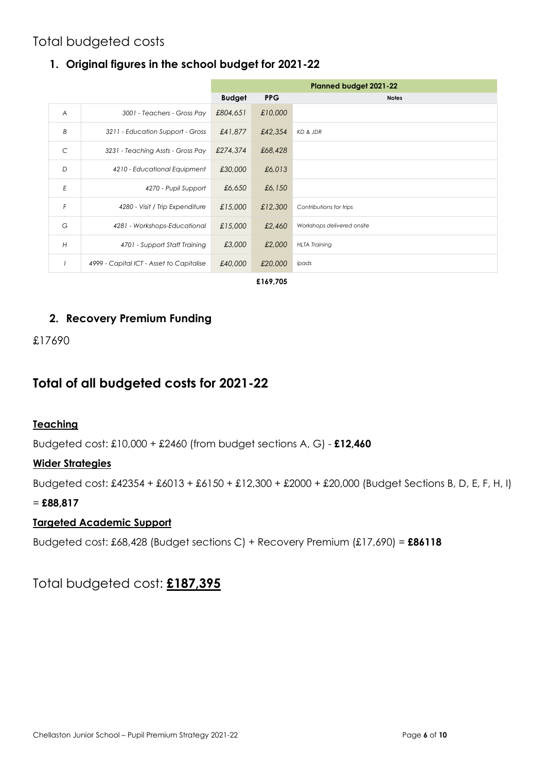## Total budgeted costs

#### **1. Original figures in the school budget for 2021-22**

|                |                                          | <b>Planned budget 2021-22</b> |            |                            |  |  |  |
|----------------|------------------------------------------|-------------------------------|------------|----------------------------|--|--|--|
|                |                                          | <b>Budget</b>                 | <b>PPG</b> | <b>Notes</b>               |  |  |  |
| $\overline{A}$ | 3001 - Teachers - Gross Pay              | £804,651                      | £10,000    |                            |  |  |  |
| B              | 3211 - Education Support - Gross         | £41,877                       | £42,354    | KD & JDR                   |  |  |  |
| C              | 3231 - Teaching Assts - Gross Pay        | £274,374                      | £68,428    |                            |  |  |  |
| D              | 4210 - Educational Equipment             | £30,000                       | £6,013     |                            |  |  |  |
| E              | 4270 - Pupil Support                     | £6,650                        | £6,150     |                            |  |  |  |
| F              | 4280 - Visit / Trip Expenditure          | £15,000                       | £12,300    | Contributions for trips    |  |  |  |
| G              | 4281 - Workshops-Educational             | £15,000                       | £2,460     | Workshops delivered onsite |  |  |  |
| H              | 4701 - Support Staff Training            | £3,000                        | £2,000     | <b>HLTA Training</b>       |  |  |  |
|                | 4999 - Capital ICT - Asset to Capitalise | £40,000                       | £20,000    | ipads                      |  |  |  |
|                | £169,705                                 |                               |            |                            |  |  |  |

#### **2. Recovery Premium Funding**

#### £17690

### **Total of all budgeted costs for 2021-22**

#### **Teaching**

Budgeted cost: £10,000 + £2460 (from budget sections A, G) - **£12,460**

#### **Wider Strategies**

Budgeted cost: £42354 + £6013 + £6150 + £12,300 + £2000 + £20,000 (Budget Sections B, D, E, F, H, I)

#### = **£88,817**

#### **Targeted Academic Support**

Budgeted cost: £68,428 (Budget sections C) + Recovery Premium (£17,690) = **£86118**

### Total budgeted cost: **£187,395**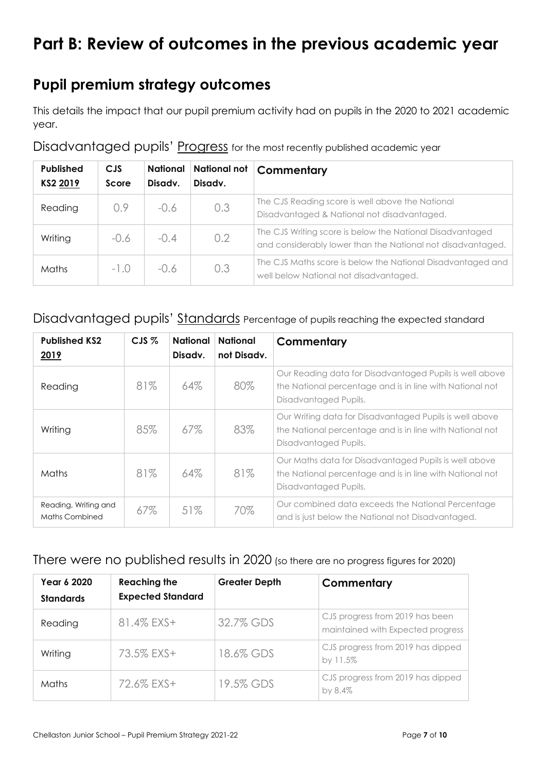# **Part B: Review of outcomes in the previous academic year**

## **Pupil premium strategy outcomes**

This details the impact that our pupil premium activity had on pupils in the 2020 to 2021 academic year.

| <b>Published</b><br>KS2 2019 | <b>CJS</b><br>Score | <b>National</b><br>Disady. | <b>National not</b><br>Disady. | Commentary                                                                                                               |
|------------------------------|---------------------|----------------------------|--------------------------------|--------------------------------------------------------------------------------------------------------------------------|
| Reading                      | 0.9                 | $-0.6$                     | 0.3                            | The CJS Reading score is well above the National<br>Disadvantaged & National not disadvantaged.                          |
| Writing                      | $-0.6$              | $-0.4$                     | 0.2                            | The CJS Writing score is below the National Disadvantaged<br>and considerably lower than the National not disadvantaged. |
| Maths                        | $-1.0$              | $-0.6$                     | 0.3                            | The CJS Maths score is below the National Disadvantaged and<br>well below National not disadvantaged.                    |

#### Disadvantaged pupils' Progress for the most recently published academic year

#### Disadvantaged pupils' Standards Percentage of pupils reaching the expected standard

| <b>Published KS2</b><br><u>2019</u>           | $CJS$ % | <b>National</b><br>Disady. | <b>National</b><br>not Disady. | Commentary                                                                                                                                   |
|-----------------------------------------------|---------|----------------------------|--------------------------------|----------------------------------------------------------------------------------------------------------------------------------------------|
| Reading                                       | 81%     | 64%                        | 80%                            | Our Reading data for Disadvantaged Pupils is well above<br>the National percentage and is in line with National not<br>Disadvantaged Pupils. |
| Writing                                       | 85%     | 67%                        | 83%                            | Our Writing data for Disadvantaged Pupils is well above<br>the National percentage and is in line with National not<br>Disadvantaged Pupils. |
| Maths                                         | 81%     | 64%                        | 81%                            | Our Maths data for Disadvantaged Pupils is well above<br>the National percentage and is in line with National not<br>Disadvantaged Pupils.   |
| Reading, Writing and<br><b>Maths Combined</b> | 67%     | 51%                        | 70%                            | Our combined data exceeds the National Percentage<br>and is just below the National not Disadvantaged.                                       |

#### There were no published results in 2020 (so there are no progress figures for 2020)

| Year 6 2020<br><b>Standards</b> | <b>Reaching the</b><br><b>Expected Standard</b> | <b>Greater Depth</b> | Commentary                                                           |
|---------------------------------|-------------------------------------------------|----------------------|----------------------------------------------------------------------|
| Reading                         | 81.4% EXS+                                      | 32.7% GDS            | CJS progress from 2019 has been<br>maintained with Expected progress |
| Writing                         | 73.5% EXS+                                      | 18.6% GDS            | CJS progress from 2019 has dipped<br>by 11.5%                        |
| Maths                           | 72.6% EXS+                                      | 19.5% GDS            | CJS progress from 2019 has dipped<br>by 8.4%                         |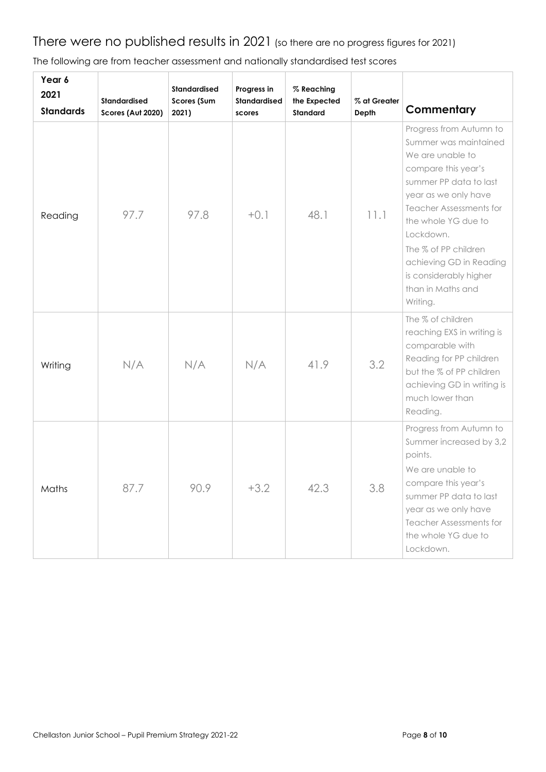# There were no published results in 2021 (so there are no progress figures for 2021)

| Year 6<br>2021<br><b>Standards</b> | Standardised<br>Scores (Aut 2020) | Standardised<br>Scores (Sum<br>2021) | Progress in<br><b>Standardised</b><br>scores | % Reaching<br>the Expected<br><b>Standard</b> | % at Greater<br>Depth | Commentary                                                                                                                                                                                                                                                                                                                        |
|------------------------------------|-----------------------------------|--------------------------------------|----------------------------------------------|-----------------------------------------------|-----------------------|-----------------------------------------------------------------------------------------------------------------------------------------------------------------------------------------------------------------------------------------------------------------------------------------------------------------------------------|
| Reading                            | 97.7                              | 97.8                                 | $+0.1$                                       | 48.1                                          | 11.1                  | Progress from Autumn to<br>Summer was maintained<br>We are unable to<br>compare this year's<br>summer PP data to last<br>year as we only have<br><b>Teacher Assessments for</b><br>the whole YG due to<br>Lockdown.<br>The % of PP children<br>achieving GD in Reading<br>is considerably higher<br>than in Maths and<br>Writing. |
| Writing                            | N/A                               | N/A                                  | N/A                                          | 41.9                                          | 3.2                   | The % of children<br>reaching EXS in writing is<br>comparable with<br>Reading for PP children<br>but the % of PP children<br>achieving GD in writing is<br>much lower than<br>Reading.                                                                                                                                            |
| Maths                              | 87.7                              | 90.9                                 | $+3.2$                                       | 42.3                                          | 3.8                   | Progress from Autumn to<br>Summer increased by 3,2<br>points.<br>We are unable to<br>compare this year's<br>summer PP data to last<br>year as we only have<br><b>Teacher Assessments for</b><br>the whole YG due to<br>Lockdown.                                                                                                  |

The following are from teacher assessment and nationally standardised test scores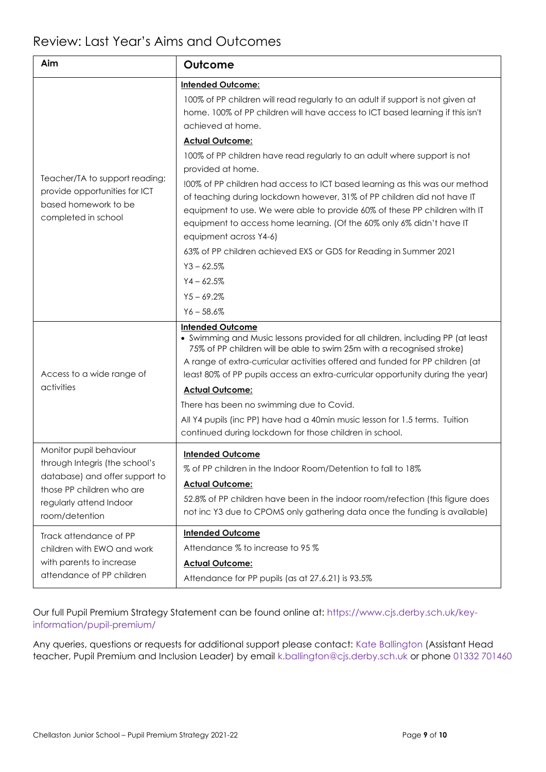| Aim                                                                                                                                                                   | Outcome                                                                                                                                                                                                                                                                                                                                               |  |  |
|-----------------------------------------------------------------------------------------------------------------------------------------------------------------------|-------------------------------------------------------------------------------------------------------------------------------------------------------------------------------------------------------------------------------------------------------------------------------------------------------------------------------------------------------|--|--|
|                                                                                                                                                                       | <b>Intended Outcome:</b>                                                                                                                                                                                                                                                                                                                              |  |  |
|                                                                                                                                                                       | 100% of PP children will read regularly to an adult if support is not given at<br>home. 100% of PP children will have access to ICT based learning if this isn't<br>achieved at home.                                                                                                                                                                 |  |  |
|                                                                                                                                                                       | <b>Actual Outcome:</b>                                                                                                                                                                                                                                                                                                                                |  |  |
|                                                                                                                                                                       | 100% of PP children have read regularly to an adult where support is not<br>provided at home.                                                                                                                                                                                                                                                         |  |  |
| Teacher/TA to support reading;<br>provide opportunities for ICT<br>based homework to be<br>completed in school                                                        | !00% of PP children had access to ICT based learning as this was our method<br>of teaching during lockdown however, 31% of PP children did not have IT<br>equipment to use. We were able to provide 60% of these PP children with IT<br>equipment to access home learning. (Of the 60% only 6% didn't have IT<br>equipment across Y4-6)               |  |  |
|                                                                                                                                                                       | 63% of PP children achieved EXS or GDS for Reading in Summer 2021                                                                                                                                                                                                                                                                                     |  |  |
|                                                                                                                                                                       | $Y3 - 62.5%$                                                                                                                                                                                                                                                                                                                                          |  |  |
|                                                                                                                                                                       | $Y4 - 62.5%$                                                                                                                                                                                                                                                                                                                                          |  |  |
|                                                                                                                                                                       | $Y5 - 69.2%$                                                                                                                                                                                                                                                                                                                                          |  |  |
|                                                                                                                                                                       | $Y6 - 58.6%$                                                                                                                                                                                                                                                                                                                                          |  |  |
| Access to a wide range of                                                                                                                                             | <b>Intended Outcome</b><br>• Swimming and Music lessons provided for all children, including PP (at least<br>75% of PP children will be able to swim 25m with a recognised stroke)<br>A range of extra-curricular activities offered and funded for PP children (at<br>least 80% of PP pupils access an extra-curricular opportunity during the year) |  |  |
| activities                                                                                                                                                            | <b>Actual Outcome:</b>                                                                                                                                                                                                                                                                                                                                |  |  |
|                                                                                                                                                                       | There has been no swimming due to Covid.                                                                                                                                                                                                                                                                                                              |  |  |
|                                                                                                                                                                       | All Y4 pupils (inc PP) have had a 40min music lesson for 1.5 terms. Tuition<br>continued during lockdown for those children in school.                                                                                                                                                                                                                |  |  |
| Monitor pupil behaviour<br>through Integris (the school's<br>database) and offer support to<br>those PP children who are<br>regularly attend Indoor<br>room/detention | <b>Intended Outcome</b><br>% of PP children in the Indoor Room/Detention to fall to 18%<br><b>Actual Outcome:</b><br>52.8% of PP children have been in the indoor room/refection (this figure does<br>not inc Y3 due to CPOMS only gathering data once the funding is available)                                                                      |  |  |
| Track attendance of PP                                                                                                                                                | <b>Intended Outcome</b>                                                                                                                                                                                                                                                                                                                               |  |  |
| children with EWO and work                                                                                                                                            | Attendance % to increase to 95 %                                                                                                                                                                                                                                                                                                                      |  |  |
| with parents to increase                                                                                                                                              | <b>Actual Outcome:</b>                                                                                                                                                                                                                                                                                                                                |  |  |
| attendance of PP children                                                                                                                                             | Attendance for PP pupils (as at 27.6.21) is 93.5%                                                                                                                                                                                                                                                                                                     |  |  |

Our full Pupil Premium Strategy Statement can be found online at: https://www.cjs.derby.sch.uk/keyinformation/pupil-premium/

Any queries, questions or requests for additional support please contact: Kate Ballington (Assistant Head teacher, Pupil Premium and Inclusion Leader) by email k.ballington@cjs.derby.sch.uk or phone 01332 701460